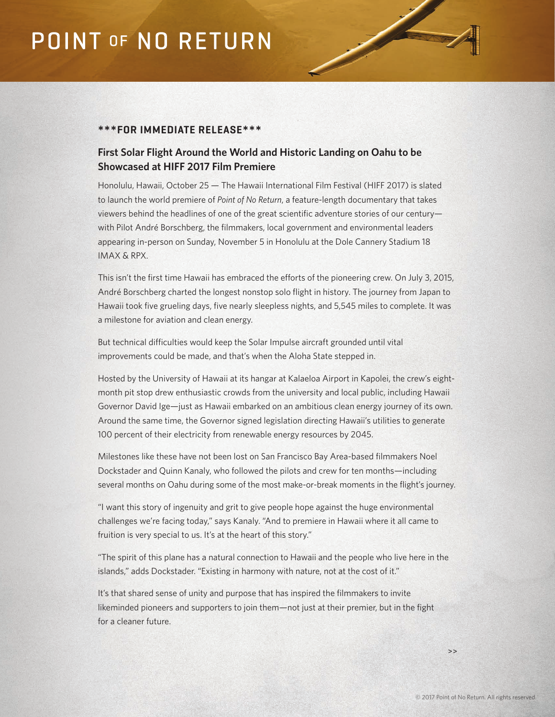# **POINT OF NO RETURN**

### **\*\*\*FOR IMMEDIATE RELEASE\*\*\***

## **First Solar Flight Around the World and Historic Landing on Oahu to be Showcased at HIFF 2017 Film Premiere**

Honolulu, Hawaii, October 25 — The Hawaii International Film Festival (HIFF 2017) is slated to launch the world premiere of *Point of No Return*, a feature-length documentary that takes viewers behind the headlines of one of the great scientific adventure stories of our century with Pilot André Borschberg, the filmmakers, local government and environmental leaders appearing in-person on Sunday, November 5 in Honolulu at the Dole Cannery Stadium 18 IMAX & RPX.

This isn't the first time Hawaii has embraced the efforts of the pioneering crew. On July 3, 2015, André Borschberg charted the longest nonstop solo flight in history. The journey from Japan to Hawaii took five grueling days, five nearly sleepless nights, and 5,545 miles to complete. It was a milestone for aviation and clean energy.

But technical difficulties would keep the Solar Impulse aircraft grounded until vital improvements could be made, and that's when the Aloha State stepped in.

Hosted by the University of Hawaii at its hangar at Kalaeloa Airport in Kapolei, the crew's eightmonth pit stop drew enthusiastic crowds from the university and local public, including Hawaii Governor David Ige—just as Hawaii embarked on an ambitious clean energy journey of its own. Around the same time, the Governor signed legislation directing Hawaii's utilities to generate 100 percent of their electricity from renewable energy resources by 2045.

Milestones like these have not been lost on San Francisco Bay Area-based filmmakers Noel Dockstader and Quinn Kanaly, who followed the pilots and crew for ten months—including several months on Oahu during some of the most make-or-break moments in the flight's journey.

"I want this story of ingenuity and grit to give people hope against the huge environmental challenges we're facing today," says Kanaly. "And to premiere in Hawaii where it all came to fruition is very special to us. It's at the heart of this story."

"The spirit of this plane has a natural connection to Hawaii and the people who live here in the islands," adds Dockstader. "Existing in harmony with nature, not at the cost of it."

It's that shared sense of unity and purpose that has inspired the filmmakers to invite likeminded pioneers and supporters to join them—not just at their premier, but in the fight for a cleaner future.